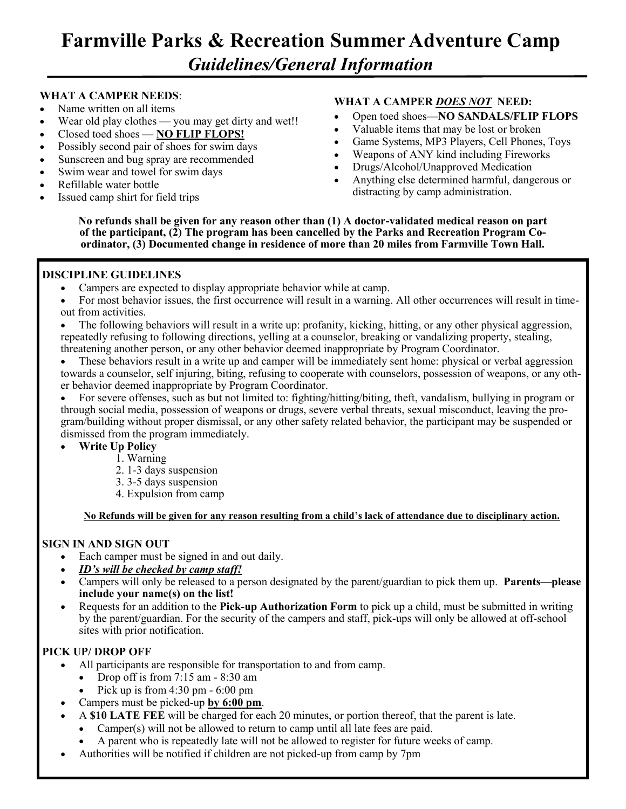## **Farmville Parks & Recreation Summer Adventure Camp**  *Guidelines/General Information*

#### **WHAT A CAMPER NEEDS**:

- Name written on all items
- Wear old play clothes you may get dirty and wet!!
- Closed toed shoes **NO FLIP FLOPS!**
- Possibly second pair of shoes for swim days
- Sunscreen and bug spray are recommended
- Swim wear and towel for swim days
- Refillable water bottle
- Issued camp shirt for field trips

#### **WHAT A CAMPER** *DOES NOT* **NEED:**

- Open toed shoes—**NO SANDALS/FLIP FLOPS**
- Valuable items that may be lost or broken
- Game Systems, MP3 Players, Cell Phones, Toys
- Weapons of ANY kind including Fireworks
- Drugs/Alcohol/Unapproved Medication
- Anything else determined harmful, dangerous or distracting by camp administration.

**No refunds shall be given for any reason other than (1) A doctor-validated medical reason on part of the participant, (2) The program has been cancelled by the Parks and Recreation Program Coordinator, (3) Documented change in residence of more than 20 miles from Farmville Town Hall.**

#### **DISCIPLINE GUIDELINES**

- Campers are expected to display appropriate behavior while at camp.
- For most behavior issues, the first occurrence will result in a warning. All other occurrences will result in timeout from activities.
- The following behaviors will result in a write up: profanity, kicking, hitting, or any other physical aggression, repeatedly refusing to following directions, yelling at a counselor, breaking or vandalizing property, stealing, threatening another person, or any other behavior deemed inappropriate by Program Coordinator.
- These behaviors result in a write up and camper will be immediately sent home: physical or verbal aggression towards a counselor, self injuring, biting, refusing to cooperate with counselors, possession of weapons, or any other behavior deemed inappropriate by Program Coordinator.

• For severe offenses, such as but not limited to: fighting/hitting/biting, theft, vandalism, bullying in program or through social media, possession of weapons or drugs, severe verbal threats, sexual misconduct, leaving the program/building without proper dismissal, or any other safety related behavior, the participant may be suspended or dismissed from the program immediately.

- **Write Up Policy**
	- 1. Warning
	- 2. 1-3 days suspension
	- 3. 3-5 days suspension
	- 4. Expulsion from camp

**No Refunds will be given for any reason resulting from a child's lack of attendance due to disciplinary action.** 

#### **SIGN IN AND SIGN OUT**

- Each camper must be signed in and out daily.
- *ID's will be checked by camp staff!*
- Campers will only be released to a person designated by the parent/guardian to pick them up. **Parents—please include your name(s) on the list!**
- Requests for an addition to the **Pick-up Authorization Form** to pick up a child, must be submitted in writing by the parent/guardian. For the security of the campers and staff, pick-ups will only be allowed at off-school sites with prior notification.

#### **PICK UP/ DROP OFF**

- All participants are responsible for transportation to and from camp.
	- Drop off is from 7:15 am 8:30 am
	- Pick up is from  $4:30 \text{ pm} 6:00 \text{ pm}$
- Campers must be picked-up **by 6:00 pm**.
- A **\$10 LATE FEE** will be charged for each 20 minutes, or portion thereof, that the parent is late.
	- Camper(s) will not be allowed to return to camp until all late fees are paid.
- A parent who is repeatedly late will not be allowed to register for future weeks of camp.
- Authorities will be notified if children are not picked-up from camp by 7pm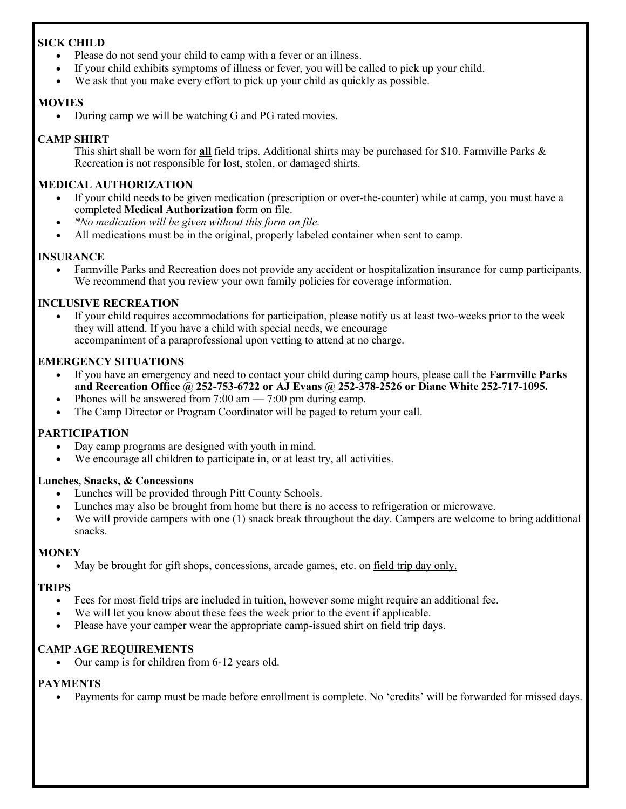#### **SICK CHILD**

- Please do not send your child to camp with a fever or an illness.
- If your child exhibits symptoms of illness or fever, you will be called to pick up your child.
- We ask that you make every effort to pick up your child as quickly as possible.

#### **MOVIES**

• During camp we will be watching G and PG rated movies.

#### **CAMP SHIRT**

This shirt shall be worn for **all** field trips. Additional shirts may be purchased for \$10. Farmville Parks & Recreation is not responsible for lost, stolen, or damaged shirts.

#### **MEDICAL AUTHORIZATION**

- If your child needs to be given medication (prescription or over-the-counter) while at camp, you must have a completed **Medical Authorization** form on file.
- *\*No medication will be given without this form on file.*
- All medications must be in the original, properly labeled container when sent to camp.

#### **INSURANCE**

• Farmville Parks and Recreation does not provide any accident or hospitalization insurance for camp participants. We recommend that you review your own family policies for coverage information.

#### **INCLUSIVE RECREATION**

If your child requires accommodations for participation, please notify us at least two-weeks prior to the week they will attend. If you have a child with special needs, we encourage accompaniment of a paraprofessional upon vetting to attend at no charge.

#### **EMERGENCY SITUATIONS**

- If you have an emergency and need to contact your child during camp hours, please call the **Farmville Parks and Recreation Office @ 252-753-6722 or AJ Evans @ 252-378-2526 or Diane White 252-717-1095.**
- Phones will be answered from  $7:00 \text{ am} 7:00 \text{ pm}$  during camp.
- The Camp Director or Program Coordinator will be paged to return your call.

#### **PARTICIPATION**

- Day camp programs are designed with youth in mind.
- We encourage all children to participate in, or at least try, all activities.

#### **Lunches, Snacks, & Concessions**

- Lunches will be provided through Pitt County Schools.
- Lunches may also be brought from home but there is no access to refrigeration or microwave.
- We will provide campers with one (1) snack break throughout the day. Campers are welcome to bring additional snacks.

#### **MONEY**

May be brought for gift shops, concessions, arcade games, etc. on <u>field trip day only.</u>

#### **TRIPS**

- Fees for most field trips are included in tuition, however some might require an additional fee.
- We will let you know about these fees the week prior to the event if applicable.
- Please have your camper wear the appropriate camp-issued shirt on field trip days.

#### **CAMP AGE REQUIREMENTS**

• Our camp is for children from 6-12 years old.

#### **PAYMENTS**

• Payments for camp must be made before enrollment is complete. No 'credits' will be forwarded for missed days.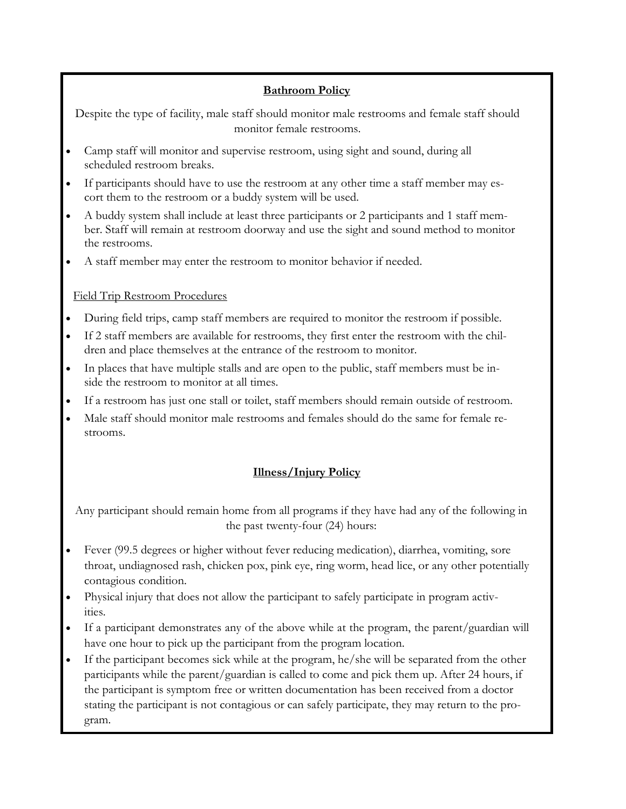#### **Bathroom Policy**

Despite the type of facility, male staff should monitor male restrooms and female staff should monitor female restrooms.

- Camp staff will monitor and supervise restroom, using sight and sound, during all scheduled restroom breaks.
- If participants should have to use the restroom at any other time a staff member may escort them to the restroom or a buddy system will be used.
- A buddy system shall include at least three participants or 2 participants and 1 staff member. Staff will remain at restroom doorway and use the sight and sound method to monitor the restrooms.
- A staff member may enter the restroom to monitor behavior if needed.

#### Field Trip Restroom Procedures

- During field trips, camp staff members are required to monitor the restroom if possible.
- If 2 staff members are available for restrooms, they first enter the restroom with the children and place themselves at the entrance of the restroom to monitor.
- In places that have multiple stalls and are open to the public, staff members must be inside the restroom to monitor at all times.
- If a restroom has just one stall or toilet, staff members should remain outside of restroom.
- Male staff should monitor male restrooms and females should do the same for female restrooms.

### **Illness/Injury Policy**

Any participant should remain home from all programs if they have had any of the following in the past twenty-four (24) hours:

- Fever (99.5 degrees or higher without fever reducing medication), diarrhea, vomiting, sore throat, undiagnosed rash, chicken pox, pink eye, ring worm, head lice, or any other potentially contagious condition.
- Physical injury that does not allow the participant to safely participate in program activities.
- If a participant demonstrates any of the above while at the program, the parent/guardian will have one hour to pick up the participant from the program location.
- If the participant becomes sick while at the program, he/she will be separated from the other participants while the parent/guardian is called to come and pick them up. After 24 hours, if the participant is symptom free or written documentation has been received from a doctor stating the participant is not contagious or can safely participate, they may return to the program.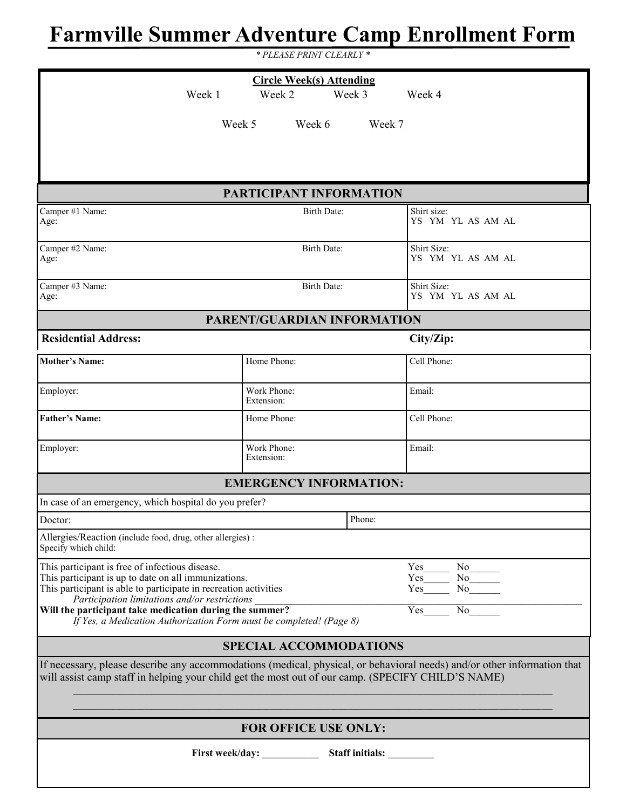# **Farmville Summer Adventure Camp Enrollment Form**

*\* PLEASE PRINT CLEARLY \**

| <b>Circle Week(s) Attending</b><br>Week 1<br>Week 3<br>Week 4<br>Week 2                                                                                                                                                                                                                                                                                                                                                                   |                               |                                  |  |  |
|-------------------------------------------------------------------------------------------------------------------------------------------------------------------------------------------------------------------------------------------------------------------------------------------------------------------------------------------------------------------------------------------------------------------------------------------|-------------------------------|----------------------------------|--|--|
|                                                                                                                                                                                                                                                                                                                                                                                                                                           |                               |                                  |  |  |
| Week 5                                                                                                                                                                                                                                                                                                                                                                                                                                    | Week 6                        | Week 7                           |  |  |
|                                                                                                                                                                                                                                                                                                                                                                                                                                           |                               |                                  |  |  |
|                                                                                                                                                                                                                                                                                                                                                                                                                                           |                               |                                  |  |  |
|                                                                                                                                                                                                                                                                                                                                                                                                                                           | PARTICIPANT INFORMATION       |                                  |  |  |
| Camper #1 Name:<br>Age:                                                                                                                                                                                                                                                                                                                                                                                                                   | <b>Birth Date:</b>            | Shirt size:<br>YS YM YL AS AM AL |  |  |
| Camper #2 Name:<br>Age:                                                                                                                                                                                                                                                                                                                                                                                                                   | Birth Date:                   | Shirt Size:<br>YS YM YL AS AM AL |  |  |
| Camper #3 Name:<br>Age:                                                                                                                                                                                                                                                                                                                                                                                                                   | <b>Birth Date:</b>            | Shirt Size:<br>YS YM YL AS AM AL |  |  |
|                                                                                                                                                                                                                                                                                                                                                                                                                                           | PARENT/GUARDIAN INFORMATION   |                                  |  |  |
| <b>Residential Address:</b>                                                                                                                                                                                                                                                                                                                                                                                                               |                               | City/Zip:                        |  |  |
| <b>Mother's Name:</b>                                                                                                                                                                                                                                                                                                                                                                                                                     | Home Phone:                   | Cell Phone:                      |  |  |
| Employer:                                                                                                                                                                                                                                                                                                                                                                                                                                 | Work Phone:<br>Extension:     | Email:                           |  |  |
| <b>Father's Name:</b>                                                                                                                                                                                                                                                                                                                                                                                                                     | Home Phone:                   | Cell Phone:                      |  |  |
| Employer:                                                                                                                                                                                                                                                                                                                                                                                                                                 | Work Phone:<br>Extension:     | Email:                           |  |  |
|                                                                                                                                                                                                                                                                                                                                                                                                                                           | <b>EMERGENCY INFORMATION:</b> |                                  |  |  |
| In case of an emergency, which hospital do you prefer?                                                                                                                                                                                                                                                                                                                                                                                    |                               |                                  |  |  |
| Doctor:                                                                                                                                                                                                                                                                                                                                                                                                                                   | Phone:                        |                                  |  |  |
| Allergies/Reaction (include food, drug, other allergies) :<br>Specify which child:                                                                                                                                                                                                                                                                                                                                                        |                               |                                  |  |  |
| This participant is free of infectious disease.<br>Yes<br>No<br>This participant is up to date on all immunizations.<br>$No$ <sub>------</sub><br>Yes<br>This participant is able to participate in recreation activities<br>No<br>Yes<br>Participation limitations and/or restrictions<br>Will the participant take medication during the summer?<br>No no<br>Yes<br>If Yes, a Medication Authorization Form must be completed! (Page 8) |                               |                                  |  |  |
| <b>SPECIAL ACCOMMODATIONS</b>                                                                                                                                                                                                                                                                                                                                                                                                             |                               |                                  |  |  |
| If necessary, please describe any accommodations (medical, physical, or behavioral needs) and/or other information that<br>will assist camp staff in helping your child get the most out of our camp. (SPECIFY CHILD'S NAME)                                                                                                                                                                                                              |                               |                                  |  |  |
| <b>FOR OFFICE USE ONLY:</b>                                                                                                                                                                                                                                                                                                                                                                                                               |                               |                                  |  |  |
| First week/day: ______________<br>Staff initials:                                                                                                                                                                                                                                                                                                                                                                                         |                               |                                  |  |  |
|                                                                                                                                                                                                                                                                                                                                                                                                                                           |                               |                                  |  |  |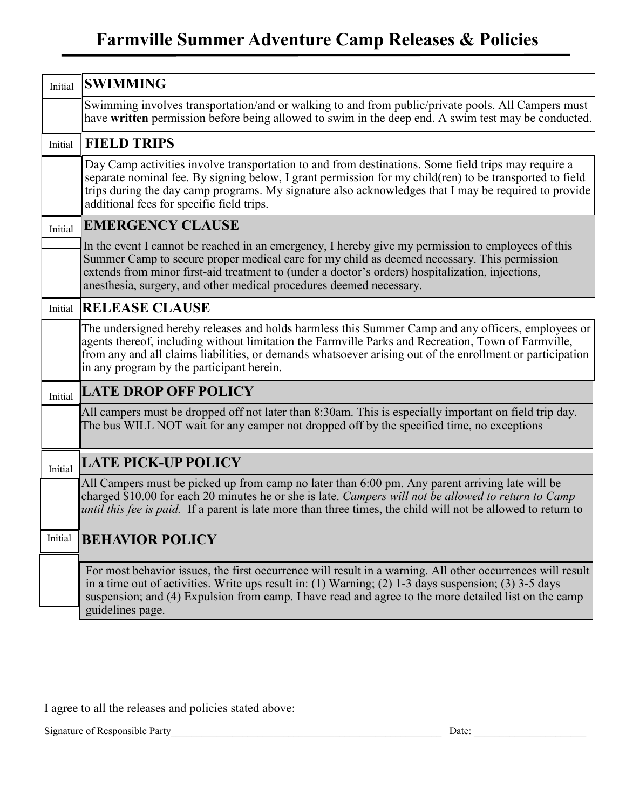## **Farmville Summer Adventure Camp Releases & Policies**

| Initial | <b>SWIMMING</b>                                                                                                                                                                                                                                                                                                                                                              |  |  |  |  |
|---------|------------------------------------------------------------------------------------------------------------------------------------------------------------------------------------------------------------------------------------------------------------------------------------------------------------------------------------------------------------------------------|--|--|--|--|
|         | Swimming involves transportation/and or walking to and from public/private pools. All Campers must<br>have written permission before being allowed to swim in the deep end. A swim test may be conducted.                                                                                                                                                                    |  |  |  |  |
| Initial | <b>FIELD TRIPS</b>                                                                                                                                                                                                                                                                                                                                                           |  |  |  |  |
|         | Day Camp activities involve transportation to and from destinations. Some field trips may require a<br>separate nominal fee. By signing below, I grant permission for my child(ren) to be transported to field<br>trips during the day camp programs. My signature also acknowledges that I may be required to provide<br>additional fees for specific field trips.          |  |  |  |  |
| Initial | <b>EMERGENCY CLAUSE</b>                                                                                                                                                                                                                                                                                                                                                      |  |  |  |  |
|         | In the event I cannot be reached in an emergency, I hereby give my permission to employees of this<br>Summer Camp to secure proper medical care for my child as deemed necessary. This permission<br>extends from minor first-aid treatment to (under a doctor's orders) hospitalization, injections,<br>anesthesia, surgery, and other medical procedures deemed necessary. |  |  |  |  |
|         | Initial RELEASE CLAUSE                                                                                                                                                                                                                                                                                                                                                       |  |  |  |  |
|         | The undersigned hereby releases and holds harmless this Summer Camp and any officers, employees or<br>agents thereof, including without limitation the Farmville Parks and Recreation, Town of Farmville,<br>from any and all claims liabilities, or demands whatsoever arising out of the enrollment or participation<br>in any program by the participant herein.          |  |  |  |  |
| Initial | <b>LATE DROP OFF POLICY</b>                                                                                                                                                                                                                                                                                                                                                  |  |  |  |  |
|         | All campers must be dropped off not later than 8:30am. This is especially important on field trip day.<br>The bus WILL NOT wait for any camper not dropped off by the specified time, no exceptions                                                                                                                                                                          |  |  |  |  |
| Initial | <b>LATE PICK-UP POLICY</b>                                                                                                                                                                                                                                                                                                                                                   |  |  |  |  |
|         | All Campers must be picked up from camp no later than 6:00 pm. Any parent arriving late will be<br>charged \$10.00 for each 20 minutes he or she is late. Campers will not be allowed to return to Camp<br>until this fee is paid. If a parent is late more than three times, the child will not be allowed to return to                                                     |  |  |  |  |
| Initial | <b>BEHAVIOR POLICY</b>                                                                                                                                                                                                                                                                                                                                                       |  |  |  |  |
|         | For most behavior issues, the first occurrence will result in a warning. All other occurrences will result<br>in a time out of activities. Write ups result in: (1) Warning; (2) $1-3$ days suspension; (3) $3-5$ days<br>suspension; and (4) Expulsion from camp. I have read and agree to the more detailed list on the camp<br>guidelines page.                           |  |  |  |  |

I agree to all the releases and policies stated above:

Signature of Responsible Party\_\_\_\_\_\_\_\_\_\_\_\_\_\_\_\_\_\_\_\_\_\_\_\_\_\_\_\_\_\_\_\_\_\_\_\_\_\_\_\_\_\_\_\_\_\_\_\_\_\_\_\_\_ Date: \_\_\_\_\_\_\_\_\_\_\_\_\_\_\_\_\_\_\_\_\_\_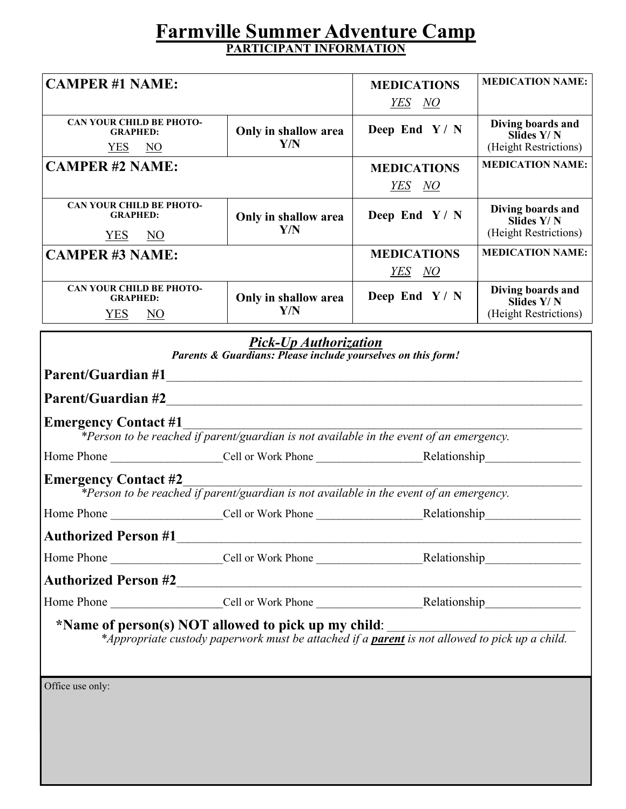## **Farmville Summer Adventure Camp PARTICIPANT INFORMATION**

|                                                                                                                                                                                                                        |                                                                                                                | <b>MEDICATIONS</b>                  | <b>MEDICATION NAME:</b>                                  |  |  |
|------------------------------------------------------------------------------------------------------------------------------------------------------------------------------------------------------------------------|----------------------------------------------------------------------------------------------------------------|-------------------------------------|----------------------------------------------------------|--|--|
| <b>CAMPER #1 NAME:</b>                                                                                                                                                                                                 |                                                                                                                | YES NO                              |                                                          |  |  |
|                                                                                                                                                                                                                        |                                                                                                                |                                     |                                                          |  |  |
| <b>CAN YOUR CHILD BE PHOTO-</b><br><b>GRAPHED:</b><br>YES NO                                                                                                                                                           | Only in shallow area<br>Y/N                                                                                    | Deep End Y/N                        | Diving boards and<br>Slides Y/N<br>(Height Restrictions) |  |  |
| <b>CAMPER #2 NAME:</b>                                                                                                                                                                                                 |                                                                                                                |                                     | <b>MEDICATION NAME:</b>                                  |  |  |
|                                                                                                                                                                                                                        |                                                                                                                | <b>MEDICATIONS</b>                  |                                                          |  |  |
|                                                                                                                                                                                                                        |                                                                                                                | <u>YES NO</u>                       |                                                          |  |  |
| <b>CAN YOUR CHILD BE PHOTO-</b><br><b>GRAPHED:</b>                                                                                                                                                                     | Only in shallow area<br>Y/N                                                                                    | Deep End Y/N                        | Diving boards and<br>Slides Y/N<br>(Height Restrictions) |  |  |
| <u>YES</u> NO                                                                                                                                                                                                          |                                                                                                                |                                     |                                                          |  |  |
| <b>CAMPER #3 NAME:</b>                                                                                                                                                                                                 |                                                                                                                | <b>MEDICATIONS</b><br><u>YES NO</u> | <b>MEDICATION NAME:</b>                                  |  |  |
| <b>CAN YOUR CHILD BE PHOTO-</b><br><b>GRAPHED:</b>                                                                                                                                                                     | Only in shallow area                                                                                           | Deep End $Y / N$                    | Diving boards and<br>Slides Y/N                          |  |  |
| <b>YES</b><br>$\overline{M}$                                                                                                                                                                                           | Y/N                                                                                                            |                                     | (Height Restrictions)                                    |  |  |
| <b>Pick-Up Authorization</b><br>Parents & Guardians: Please include yourselves on this form!                                                                                                                           |                                                                                                                |                                     |                                                          |  |  |
|                                                                                                                                                                                                                        |                                                                                                                |                                     |                                                          |  |  |
| <b>Emergency Contact #1</b><br>$*$ Person to be reached if parent/guardian is not available in the event of an emergency.                                                                                              |                                                                                                                |                                     |                                                          |  |  |
|                                                                                                                                                                                                                        |                                                                                                                |                                     |                                                          |  |  |
| <b>Emergency Contact #2</b>                                                                                                                                                                                            |                                                                                                                |                                     |                                                          |  |  |
| *Person to be reached if parent/guardian is not available in the event of an emergency.                                                                                                                                |                                                                                                                |                                     |                                                          |  |  |
|                                                                                                                                                                                                                        |                                                                                                                |                                     |                                                          |  |  |
|                                                                                                                                                                                                                        |                                                                                                                |                                     |                                                          |  |  |
|                                                                                                                                                                                                                        |                                                                                                                |                                     |                                                          |  |  |
|                                                                                                                                                                                                                        |                                                                                                                |                                     |                                                          |  |  |
|                                                                                                                                                                                                                        | Home Phone _____________________Cell or Work Phone ______________________________Relationship_________________ |                                     |                                                          |  |  |
| *Name of person(s) NOT allowed to pick up my child:<br><b>or person(s) NOT allowed to pick up my child:</b><br>$*Appropriate$ custody paperwork must be attached if a <b>parent</b> is not allowed to pick up a child. |                                                                                                                |                                     |                                                          |  |  |
|                                                                                                                                                                                                                        |                                                                                                                |                                     |                                                          |  |  |
| Office use only:                                                                                                                                                                                                       |                                                                                                                |                                     |                                                          |  |  |
|                                                                                                                                                                                                                        |                                                                                                                |                                     |                                                          |  |  |
|                                                                                                                                                                                                                        |                                                                                                                |                                     |                                                          |  |  |
|                                                                                                                                                                                                                        |                                                                                                                |                                     |                                                          |  |  |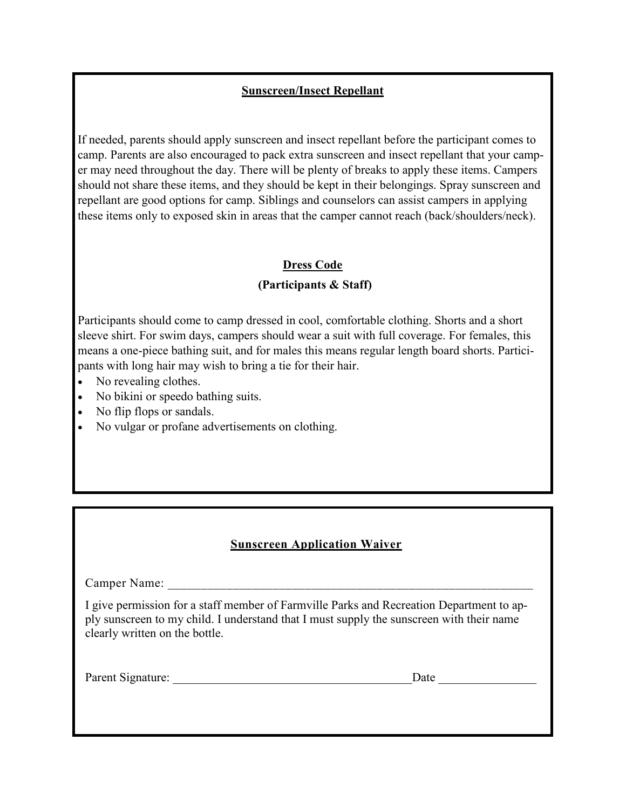#### **Sunscreen/Insect Repellant**

If needed, parents should apply sunscreen and insect repellant before the participant comes to camp. Parents are also encouraged to pack extra sunscreen and insect repellant that your camper may need throughout the day. There will be plenty of breaks to apply these items. Campers should not share these items, and they should be kept in their belongings. Spray sunscreen and repellant are good options for camp. Siblings and counselors can assist campers in applying these items only to exposed skin in areas that the camper cannot reach (back/shoulders/neck).

#### **Dress Code**

#### **(Participants & Staff)**

Participants should come to camp dressed in cool, comfortable clothing. Shorts and a short sleeve shirt. For swim days, campers should wear a suit with full coverage. For females, this means a one-piece bathing suit, and for males this means regular length board shorts. Participants with long hair may wish to bring a tie for their hair.

- No revealing clothes.
- No bikini or speedo bathing suits.
- No flip flops or sandals.
- No vulgar or profane advertisements on clothing.

#### **Sunscreen Application Waiver**

Camper Name:

I give permission for a staff member of Farmville Parks and Recreation Department to apply sunscreen to my child. I understand that I must supply the sunscreen with their name clearly written on the bottle.

Parent Signature: \_\_\_\_\_\_\_\_\_\_\_\_\_\_\_\_\_\_\_\_\_\_\_\_\_\_\_\_\_\_\_\_\_\_\_\_\_\_\_Date \_\_\_\_\_\_\_\_\_\_\_\_\_\_\_\_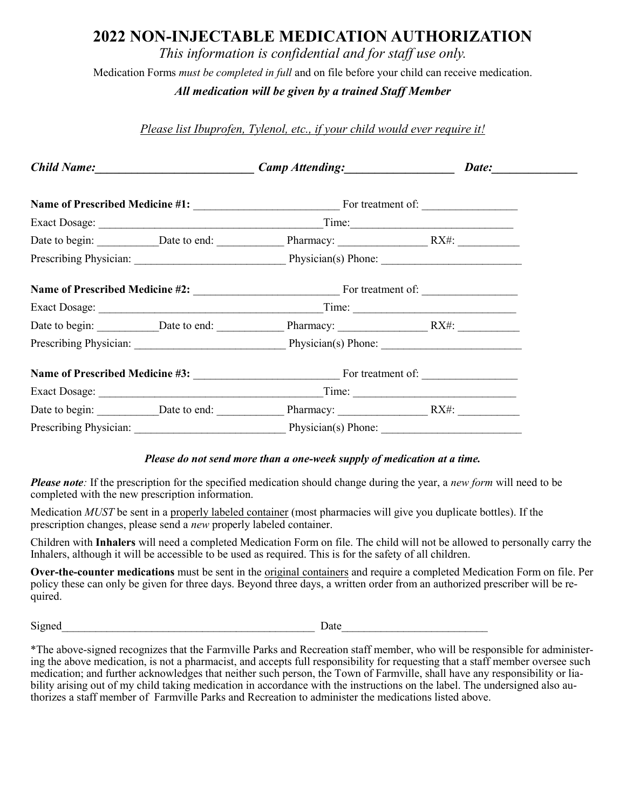### **2022 NON-INJECTABLE MEDICATION AUTHORIZATION**

*This information is confidential and for staff use only.*

Medication Forms *must be completed in full* and on file before your child can receive medication.

*All medication will be given by a trained Staff Member*

*Please list Ibuprofen, Tylenol, etc., if your child would ever require it!* 

|                        | Child Name: Date: Development Camp Attending: Date: Date: |  |  |
|------------------------|-----------------------------------------------------------|--|--|
|                        |                                                           |  |  |
|                        | Exact Dosage: Time: Time:                                 |  |  |
|                        | Date to begin: Date to end: Pharmacy: RX#:                |  |  |
|                        | Prescribing Physician: Physician(s) Phone: 2008. [2013]   |  |  |
|                        | <b>Name of Prescribed Medicine #2:</b> For treatment of:  |  |  |
|                        |                                                           |  |  |
|                        |                                                           |  |  |
|                        | Prescribing Physician: Physician(s) Phone: 2003. [2013]   |  |  |
|                        | Name of Prescribed Medicine #3: For treatment of:         |  |  |
|                        |                                                           |  |  |
|                        | Date to begin: Date to end: Pharmacy: RX#:                |  |  |
| Prescribing Physician: | Physician(s) Phone:                                       |  |  |

#### *Please do not send more than a one-week supply of medication at a time.*

*Please note:* If the prescription for the specified medication should change during the year, a *new form* will need to be completed with the new prescription information.

Medication *MUST* be sent in a properly labeled container (most pharmacies will give you duplicate bottles). If the prescription changes, please send a *new* properly labeled container.

Children with **Inhalers** will need a completed Medication Form on file. The child will not be allowed to personally carry the Inhalers, although it will be accessible to be used as required. This is for the safety of all children.

**Over-the-counter medications** must be sent in the original containers and require a completed Medication Form on file. Per policy these can only be given for three days. Beyond three days, a written order from an authorized prescriber will be required.

Signed Date

\*The above-signed recognizes that the Farmville Parks and Recreation staff member, who will be responsible for administering the above medication, is not a pharmacist, and accepts full responsibility for requesting that a staff member oversee such medication; and further acknowledges that neither such person, the Town of Farmville, shall have any responsibility or liability arising out of my child taking medication in accordance with the instructions on the label. The undersigned also authorizes a staff member of Farmville Parks and Recreation to administer the medications listed above.